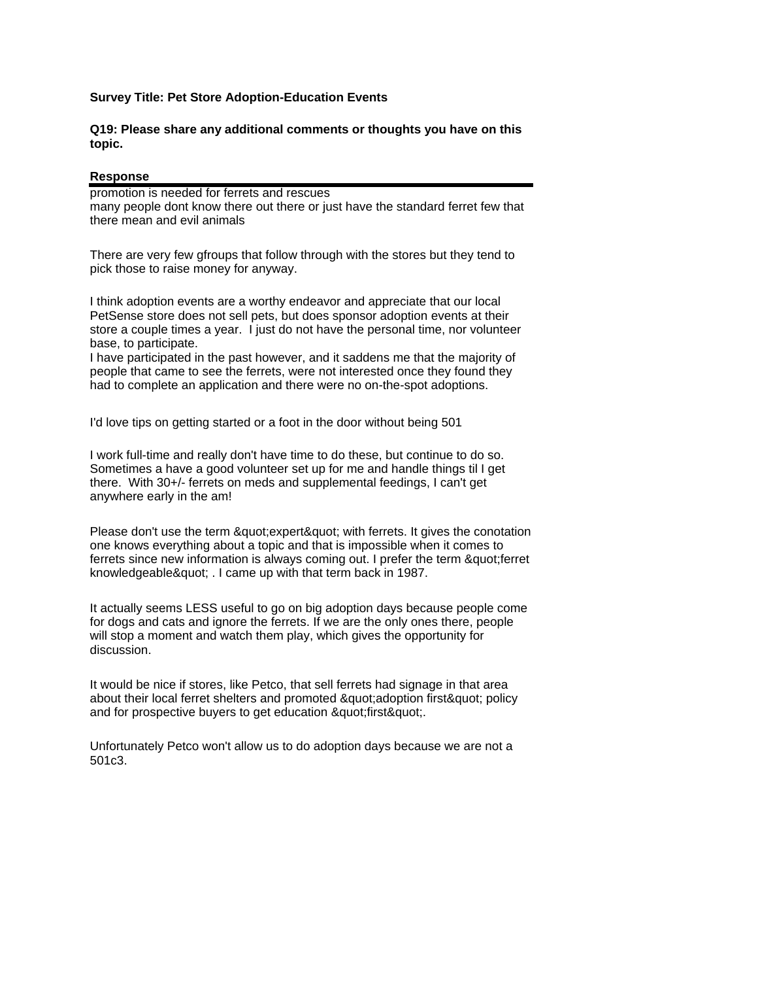## **Survey Title: Pet Store Adoption-Education Events**

## **Q19: Please share any additional comments or thoughts you have on this topic.**

## **Response**

promotion is needed for ferrets and rescues many people dont know there out there or just have the standard ferret few that there mean and evil animals

There are very few gfroups that follow through with the stores but they tend to pick those to raise money for anyway.

I think adoption events are a worthy endeavor and appreciate that our local PetSense store does not sell pets, but does sponsor adoption events at their store a couple times a year. I just do not have the personal time, nor volunteer base, to participate.

I have participated in the past however, and it saddens me that the majority of people that came to see the ferrets, were not interested once they found they had to complete an application and there were no on-the-spot adoptions.

I'd love tips on getting started or a foot in the door without being 501

I work full-time and really don't have time to do these, but continue to do so. Sometimes a have a good volunteer set up for me and handle things til I get there. With 30+/- ferrets on meds and supplemental feedings, I can't get anywhere early in the am!

Please don't use the term " expert" with ferrets. It gives the conotation one knows everything about a topic and that is impossible when it comes to ferrets since new information is always coming out. I prefer the term & quot; ferret knowledgeable" . I came up with that term back in 1987.

It actually seems LESS useful to go on big adoption days because people come for dogs and cats and ignore the ferrets. If we are the only ones there, people will stop a moment and watch them play, which gives the opportunity for discussion.

It would be nice if stores, like Petco, that sell ferrets had signage in that area about their local ferret shelters and promoted " adoption first" policy and for prospective buyers to get education & quot; first & quot;.

Unfortunately Petco won't allow us to do adoption days because we are not a 501c3.